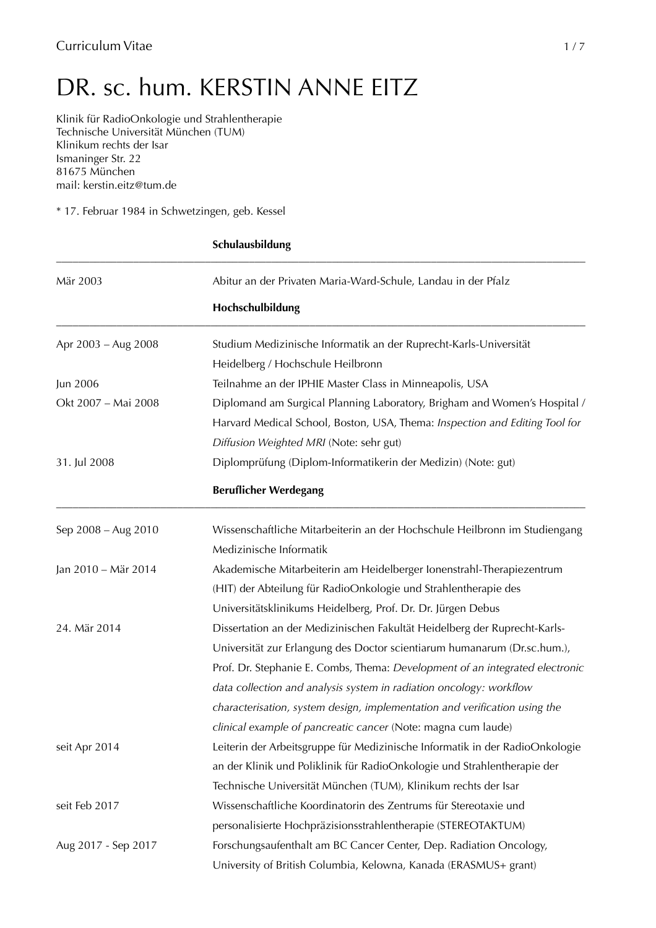# DR. sc. hum. KERSTIN ANNE EITZ

Klinik für RadioOnkologie und Strahlentherapie Technische Universität München (TUM) Klinikum rechts der Isar Ismaninger Str. 22 81675 München mail: kerstin.eitz@tum.de

\* 17. Februar 1984 in Schwetzingen, geb. Kessel

| Mär 2003            | Abitur an der Privaten Maria-Ward-Schule, Landau in der Pfalz                |
|---------------------|------------------------------------------------------------------------------|
|                     | Hochschulbildung                                                             |
| Apr 2003 - Aug 2008 | Studium Medizinische Informatik an der Ruprecht-Karls-Universität            |
|                     | Heidelberg / Hochschule Heilbronn                                            |
| Jun 2006            | Teilnahme an der IPHIE Master Class in Minneapolis, USA                      |
| Okt 2007 - Mai 2008 | Diplomand am Surgical Planning Laboratory, Brigham and Women's Hospital /    |
|                     | Harvard Medical School, Boston, USA, Thema: Inspection and Editing Tool for  |
|                     | Diffusion Weighted MRI (Note: sehr gut)                                      |
| 31. Jul 2008        | Diplomprüfung (Diplom-Informatikerin der Medizin) (Note: gut)                |
|                     | <b>Beruflicher Werdegang</b>                                                 |
| Sep 2008 - Aug 2010 | Wissenschaftliche Mitarbeiterin an der Hochschule Heilbronn im Studiengang   |
|                     | Medizinische Informatik                                                      |
| Jan 2010 - Mär 2014 | Akademische Mitarbeiterin am Heidelberger Ionenstrahl-Therapiezentrum        |
|                     | (HIT) der Abteilung für RadioOnkologie und Strahlentherapie des              |
|                     | Universitätsklinikums Heidelberg, Prof. Dr. Dr. Jürgen Debus                 |
| 24. Mär 2014        | Dissertation an der Medizinischen Fakultät Heidelberg der Ruprecht-Karls-    |
|                     | Universität zur Erlangung des Doctor scientiarum humanarum (Dr.sc.hum.),     |
|                     | Prof. Dr. Stephanie E. Combs, Thema: Development of an integrated electronic |
|                     | data collection and analysis system in radiation oncology: workflow          |
|                     | characterisation, system design, implementation and verification using the   |
|                     | clinical example of pancreatic cancer (Note: magna cum laude)                |
| seit Apr 2014       | Leiterin der Arbeitsgruppe für Medizinische Informatik in der RadioOnkologie |
|                     | an der Klinik und Poliklinik für RadioOnkologie und Strahlentherapie der     |
|                     | Technische Universität München (TUM), Klinikum rechts der Isar               |
| seit Feb 2017       | Wissenschaftliche Koordinatorin des Zentrums für Stereotaxie und             |
|                     | personalisierte Hochpräzisionsstrahlentherapie (STEREOTAKTUM)                |
| Aug 2017 - Sep 2017 | Forschungsaufenthalt am BC Cancer Center, Dep. Radiation Oncology,           |
|                     | University of British Columbia, Kelowna, Kanada (ERASMUS+ grant)             |

#### **Schulausbildung**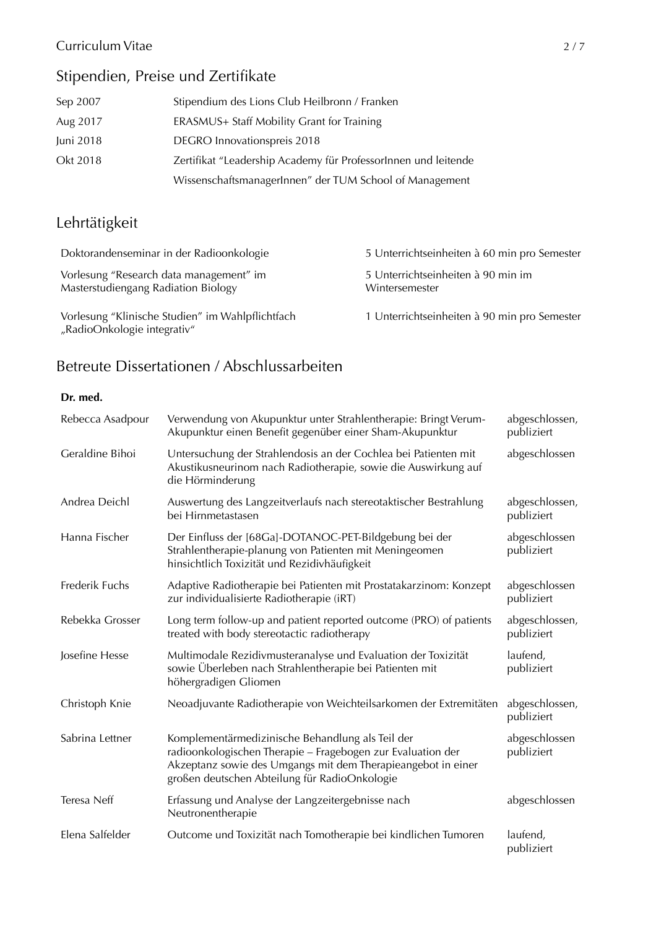### Curriculum Vitae 2/7

### Stipendien, Preise und Zertifikate

| Sep 2007  | Stipendium des Lions Club Heilbronn / Franken                  |
|-----------|----------------------------------------------------------------|
| Aug 2017  | ERASMUS+ Staff Mobility Grant for Training                     |
| Juni 2018 | DEGRO Innovationspreis 2018                                    |
| Okt 2018  | Zertifikat "Leadership Academy für ProfessorInnen und leitende |
|           | WissenschaftsmanagerInnen" der TUM School of Management        |

## Lehrtätigkeit

| Doktorandenseminar in der Radioonkologie                                        | 5 Unterrichtseinheiten à 60 min pro Semester         |
|---------------------------------------------------------------------------------|------------------------------------------------------|
| Vorlesung "Research data management" im<br>Masterstudiengang Radiation Biology  | 5 Unterrichtseinheiten à 90 min im<br>Wintersemester |
| Vorlesung "Klinische Studien" im Wahlpflichtfach<br>"RadioOnkologie integrativ" | 1 Unterrichtseinheiten à 90 min pro Semester         |

# Betreute Dissertationen / Abschlussarbeiten

#### **Dr. med.**

| Rebecca Asadpour | Verwendung von Akupunktur unter Strahlentherapie: Bringt Verum-<br>Akupunktur einen Benefit gegenüber einer Sham-Akupunktur                                                                                                      | abgeschlossen,<br>publiziert |
|------------------|----------------------------------------------------------------------------------------------------------------------------------------------------------------------------------------------------------------------------------|------------------------------|
| Geraldine Bihoi  | Untersuchung der Strahlendosis an der Cochlea bei Patienten mit<br>Akustikusneurinom nach Radiotherapie, sowie die Auswirkung auf<br>die Hörminderung                                                                            | abgeschlossen                |
| Andrea Deichl    | Auswertung des Langzeitverlaufs nach stereotaktischer Bestrahlung<br>bei Hirnmetastasen                                                                                                                                          | abgeschlossen,<br>publiziert |
| Hanna Fischer    | Der Einfluss der [68Ga]-DOTANOC-PET-Bildgebung bei der<br>Strahlentherapie-planung von Patienten mit Meningeomen<br>hinsichtlich Toxizität und Rezidivhäufigkeit                                                                 | abgeschlossen<br>publiziert  |
| Frederik Fuchs   | Adaptive Radiotherapie bei Patienten mit Prostatakarzinom: Konzept<br>zur individualisierte Radiotherapie (iRT)                                                                                                                  | abgeschlossen<br>publiziert  |
| Rebekka Grosser  | Long term follow-up and patient reported outcome (PRO) of patients<br>treated with body stereotactic radiotherapy                                                                                                                | abgeschlossen,<br>publiziert |
| Josefine Hesse   | Multimodale Rezidivmusteranalyse und Evaluation der Toxizität<br>sowie Überleben nach Strahlentherapie bei Patienten mit<br>höhergradigen Gliomen                                                                                | laufend,<br>publiziert       |
| Christoph Knie   | Neoadjuvante Radiotherapie von Weichteilsarkomen der Extremitäten                                                                                                                                                                | abgeschlossen,<br>publiziert |
| Sabrina Lettner  | Komplementärmedizinische Behandlung als Teil der<br>radioonkologischen Therapie - Fragebogen zur Evaluation der<br>Akzeptanz sowie des Umgangs mit dem Therapieangebot in einer<br>großen deutschen Abteilung für RadioOnkologie | abgeschlossen<br>publiziert  |
| Teresa Neff      | Erfassung und Analyse der Langzeitergebnisse nach<br>Neutronentherapie                                                                                                                                                           | abgeschlossen                |
| Elena Salfelder  | Outcome und Toxizität nach Tomotherapie bei kindlichen Tumoren                                                                                                                                                                   | laufend,<br>publiziert       |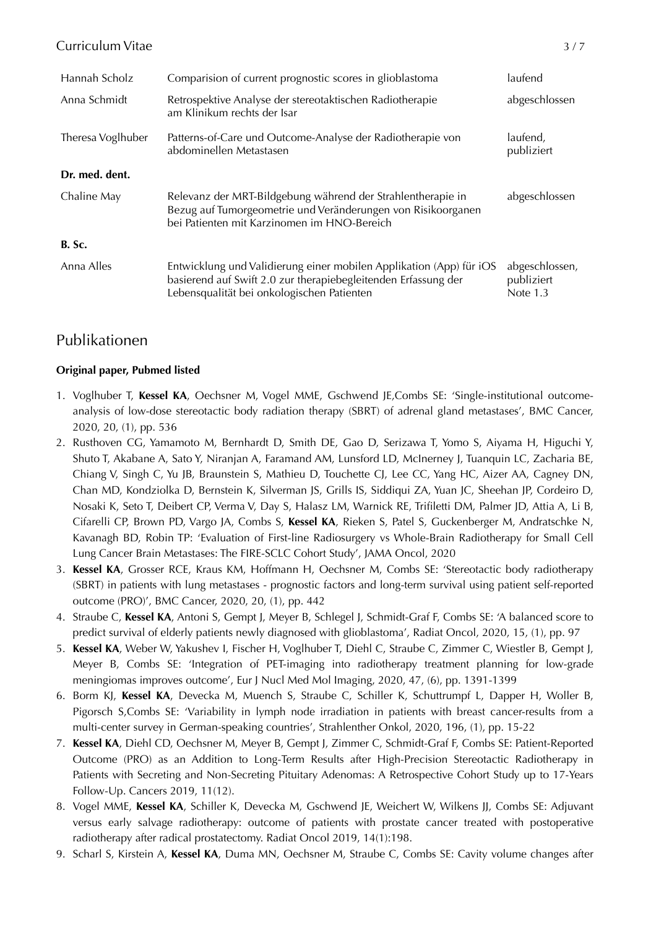#### Curriculum Vitae 3/7

| Hannah Scholz     | Comparision of current prognostic scores in glioblastoma                                                                                                                            | laufend                                    |
|-------------------|-------------------------------------------------------------------------------------------------------------------------------------------------------------------------------------|--------------------------------------------|
| Anna Schmidt      | Retrospektive Analyse der stereotaktischen Radiotherapie<br>am Klinikum rechts der Isar                                                                                             | abgeschlossen                              |
| Theresa Voglhuber | Patterns-of-Care und Outcome-Analyse der Radiotherapie von<br>abdominellen Metastasen                                                                                               | laufend,<br>publiziert                     |
| Dr. med. dent.    |                                                                                                                                                                                     |                                            |
| Chaline May       | Relevanz der MRT-Bildgebung während der Strahlentherapie in<br>Bezug auf Tumorgeometrie und Veränderungen von Risikoorganen<br>bei Patienten mit Karzinomen im HNO-Bereich          | abgeschlossen                              |
| <b>B.</b> Sc.     |                                                                                                                                                                                     |                                            |
| Anna Alles        | Entwicklung und Validierung einer mobilen Applikation (App) für iOS<br>basierend auf Swift 2.0 zur therapiebegleitenden Erfassung der<br>Lebensqualität bei onkologischen Patienten | abgeschlossen,<br>publiziert<br>Note $1.3$ |

### Publikationen

#### **Original paper, Pubmed listed**

- 1. Voglhuber T, **Kessel KA**, Oechsner M, Vogel MME, Gschwend JE,Combs SE: 'Single-institutional outcomeanalysis of low-dose stereotactic body radiation therapy (SBRT) of adrenal gland metastases', BMC Cancer, 2020, 20, (1), pp. 536
- 2. Rusthoven CG, Yamamoto M, Bernhardt D, Smith DE, Gao D, Serizawa T, Yomo S, Aiyama H, Higuchi Y, Shuto T, Akabane A, Sato Y, Niranjan A, Faramand AM, Lunsford LD, McInerney J, Tuanquin LC, Zacharia BE, Chiang V, Singh C, Yu JB, Braunstein S, Mathieu D, Touchette CJ, Lee CC, Yang HC, Aizer AA, Cagney DN, Chan MD, Kondziolka D, Bernstein K, Silverman JS, Grills IS, Siddiqui ZA, Yuan JC, Sheehan JP, Cordeiro D, Nosaki K, Seto T, Deibert CP, Verma V, Day S, Halasz LM, Warnick RE, Trifiletti DM, Palmer JD, Attia A, Li B, Cifarelli CP, Brown PD, Vargo JA, Combs S, **Kessel KA**, Rieken S, Patel S, Guckenberger M, Andratschke N, Kavanagh BD, Robin TP: 'Evaluation of First-line Radiosurgery vs Whole-Brain Radiotherapy for Small Cell Lung Cancer Brain Metastases: The FIRE-SCLC Cohort Study', JAMA Oncol, 2020
- 3. **Kessel KA**, Grosser RCE, Kraus KM, Hoffmann H, Oechsner M, Combs SE: 'Stereotactic body radiotherapy (SBRT) in patients with lung metastases - prognostic factors and long-term survival using patient self-reported outcome (PRO)', BMC Cancer, 2020, 20, (1), pp. 442
- 4. Straube C, **Kessel KA**, Antoni S, Gempt J, Meyer B, Schlegel J, Schmidt-Graf F, Combs SE: 'A balanced score to predict survival of elderly patients newly diagnosed with glioblastoma', Radiat Oncol, 2020, 15, (1), pp. 97
- 5. **Kessel KA**, Weber W, Yakushev I, Fischer H, Voglhuber T, Diehl C, Straube C, Zimmer C, Wiestler B, Gempt J, Meyer B, Combs SE: 'Integration of PET-imaging into radiotherapy treatment planning for low-grade meningiomas improves outcome', Eur J Nucl Med Mol Imaging, 2020, 47, (6), pp. 1391-1399
- 6. Borm KJ, **Kessel KA**, Devecka M, Muench S, Straube C, Schiller K, Schuttrumpf L, Dapper H, Woller B, Pigorsch S,Combs SE: 'Variability in lymph node irradiation in patients with breast cancer-results from a multi-center survey in German-speaking countries', Strahlenther Onkol, 2020, 196, (1), pp. 15-22
- 7. **Kessel KA**, Diehl CD, Oechsner M, Meyer B, Gempt J, Zimmer C, Schmidt-Graf F, Combs SE: Patient-Reported Outcome (PRO) as an Addition to Long-Term Results after High-Precision Stereotactic Radiotherapy in Patients with Secreting and Non-Secreting Pituitary Adenomas: A Retrospective Cohort Study up to 17-Years Follow-Up. Cancers 2019, 11(12).
- 8. Vogel MME, **Kessel KA**, Schiller K, Devecka M, Gschwend JE, Weichert W, Wilkens JJ, Combs SE: Adjuvant versus early salvage radiotherapy: outcome of patients with prostate cancer treated with postoperative radiotherapy after radical prostatectomy. Radiat Oncol 2019, 14(1):198.
- 9. Scharl S, Kirstein A, **Kessel KA**, Duma MN, Oechsner M, Straube C, Combs SE: Cavity volume changes after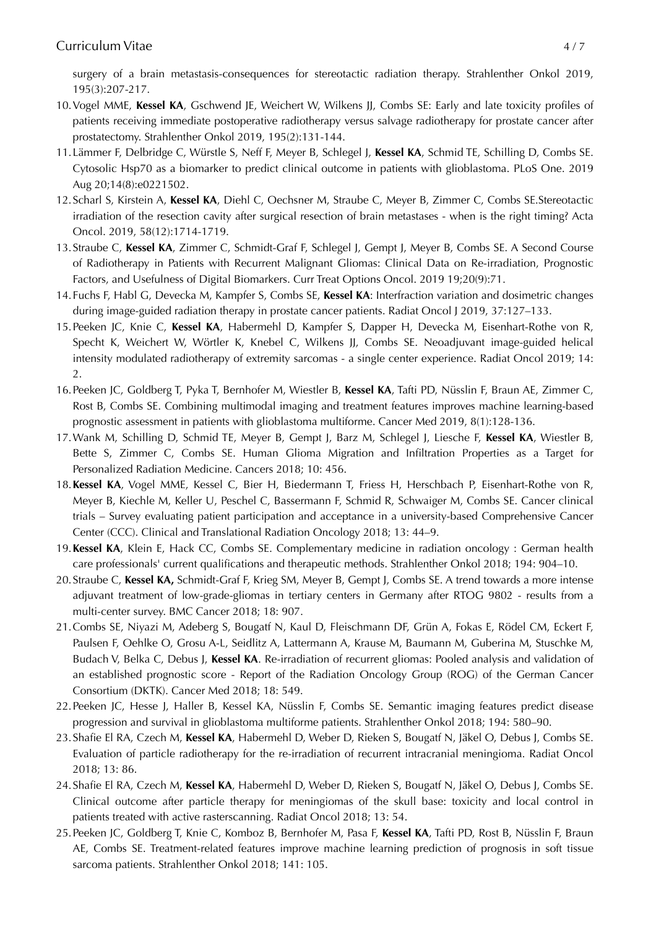surgery of a brain metastasis-consequences for stereotactic radiation therapy. Strahlenther Onkol 2019, 195(3):207-217.

- 10.Vogel MME, **Kessel KA**, Gschwend JE, Weichert W, Wilkens JJ, Combs SE: Early and late toxicity profiles of patients receiving immediate postoperative radiotherapy versus salvage radiotherapy for prostate cancer after prostatectomy. Strahlenther Onkol 2019, 195(2):131-144.
- 11.Lämmer F, Delbridge C, Würstle S, Neff F, Meyer B, Schlegel J, **Kessel KA**, Schmid TE, Schilling D, Combs SE. Cytosolic Hsp70 as a biomarker to predict clinical outcome in patients with glioblastoma. PLoS One. 2019 Aug 20;14(8):e0221502.
- 12.Scharl S, Kirstein A, **Kessel KA**, Diehl C, Oechsner M, Straube C, Meyer B, Zimmer C, Combs SE.Stereotactic irradiation of the resection cavity after surgical resection of brain metastases - when is the right timing? Acta Oncol. 2019, 58(12):1714-1719.
- 13.Straube C, **Kessel KA**, Zimmer C, Schmidt-Graf F, Schlegel J, Gempt J, Meyer B, Combs SE. A Second Course of Radiotherapy in Patients with Recurrent Malignant Gliomas: Clinical Data on Re-irradiation, Prognostic Factors, and Usefulness of Digital Biomarkers. Curr Treat Options Oncol. 2019 19;20(9):71.
- 14.Fuchs F, Habl G, Devecka M, Kampfer S, Combs SE, **Kessel KA**: Interfraction variation and dosimetric changes during image-guided radiation therapy in prostate cancer patients. Radiat Oncol J 2019, 37:127–133.
- 15.Peeken JC, Knie C, **Kessel KA**, Habermehl D, Kampfer S, Dapper H, Devecka M, Eisenhart-Rothe von R, Specht K, Weichert W, Wörtler K, Knebel C, Wilkens JJ, Combs SE. Neoadjuvant image-guided helical intensity modulated radiotherapy of extremity sarcomas - a single center experience. Radiat Oncol 2019; 14: 2.
- 16.Peeken JC, Goldberg T, Pyka T, Bernhofer M, Wiestler B, **Kessel KA**, Tafti PD, Nüsslin F, Braun AE, Zimmer C, Rost B, Combs SE. Combining multimodal imaging and treatment features improves machine learning-based prognostic assessment in patients with glioblastoma multiforme. Cancer Med 2019, 8(1):128-136.
- 17.Wank M, Schilling D, Schmid TE, Meyer B, Gempt J, Barz M, Schlegel J, Liesche F, **Kessel KA**, Wiestler B, Bette S, Zimmer C, Combs SE. Human Glioma Migration and Infiltration Properties as a Target for Personalized Radiation Medicine. Cancers 2018; 10: 456.
- 18.**Kessel KA**, Vogel MME, Kessel C, Bier H, Biedermann T, Friess H, Herschbach P, Eisenhart-Rothe von R, Meyer B, Kiechle M, Keller U, Peschel C, Bassermann F, Schmid R, Schwaiger M, Combs SE. Cancer clinical trials – Survey evaluating patient participation and acceptance in a university-based Comprehensive Cancer Center (CCC). Clinical and Translational Radiation Oncology 2018; 13: 44–9.
- 19.**Kessel KA**, Klein E, Hack CC, Combs SE. Complementary medicine in radiation oncology : German health care professionals' current qualifications and therapeutic methods. Strahlenther Onkol 2018; 194: 904–10.
- 20.Straube C, **Kessel KA,** Schmidt-Graf F, Krieg SM, Meyer B, Gempt J, Combs SE. A trend towards a more intense adjuvant treatment of low-grade-gliomas in tertiary centers in Germany after RTOG 9802 - results from a multi-center survey. BMC Cancer 2018; 18: 907.
- 21.Combs SE, Niyazi M, Adeberg S, Bougatf N, Kaul D, Fleischmann DF, Grün A, Fokas E, Rödel CM, Eckert F, Paulsen F, Oehlke O, Grosu A-L, Seidlitz A, Lattermann A, Krause M, Baumann M, Guberina M, Stuschke M, Budach V, Belka C, Debus J, **Kessel KA**. Re-irradiation of recurrent gliomas: Pooled analysis and validation of an established prognostic score - Report of the Radiation Oncology Group (ROG) of the German Cancer Consortium (DKTK). Cancer Med 2018; 18: 549.
- 22.Peeken JC, Hesse J, Haller B, Kessel KA, Nüsslin F, Combs SE. Semantic imaging features predict disease progression and survival in glioblastoma multiforme patients. Strahlenther Onkol 2018; 194: 580–90.
- 23.Shafie El RA, Czech M, **Kessel KA**, Habermehl D, Weber D, Rieken S, Bougatf N, Jäkel O, Debus J, Combs SE. Evaluation of particle radiotherapy for the re-irradiation of recurrent intracranial meningioma. Radiat Oncol 2018; 13: 86.
- 24.Shafie El RA, Czech M, **Kessel KA**, Habermehl D, Weber D, Rieken S, Bougatf N, Jäkel O, Debus J, Combs SE. Clinical outcome after particle therapy for meningiomas of the skull base: toxicity and local control in patients treated with active rasterscanning. Radiat Oncol 2018; 13: 54.
- 25.Peeken JC, Goldberg T, Knie C, Komboz B, Bernhofer M, Pasa F, **Kessel KA**, Tafti PD, Rost B, Nüsslin F, Braun AE, Combs SE. Treatment-related features improve machine learning prediction of prognosis in soft tissue sarcoma patients. Strahlenther Onkol 2018; 141: 105.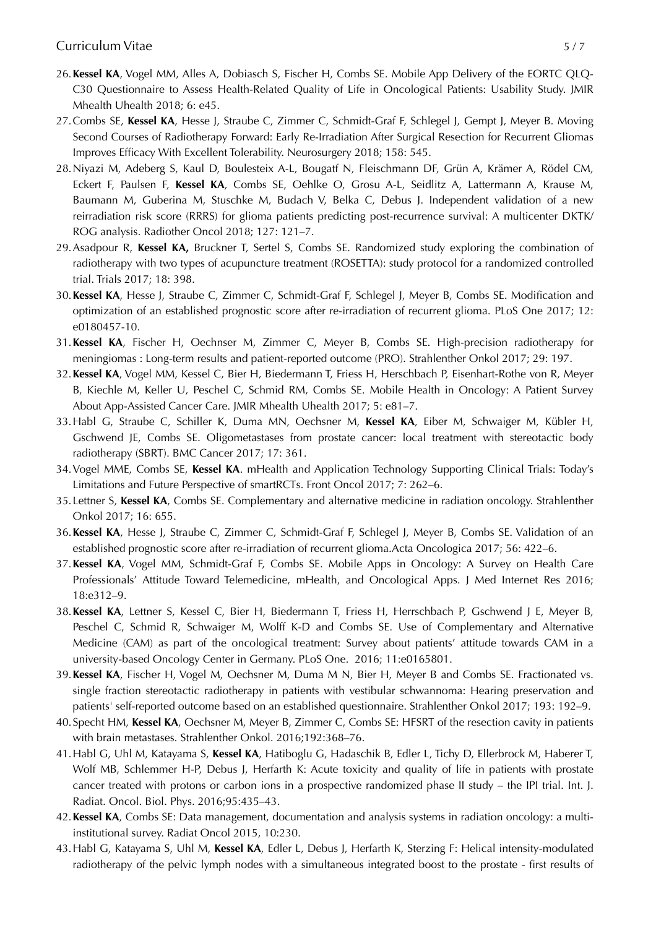- 26.**Kessel KA**, Vogel MM, Alles A, Dobiasch S, Fischer H, Combs SE. Mobile App Delivery of the EORTC QLQ-C30 Questionnaire to Assess Health-Related Quality of Life in Oncological Patients: Usability Study. JMIR Mhealth Uhealth 2018; 6: e45.
- 27.Combs SE, **Kessel KA**, Hesse J, Straube C, Zimmer C, Schmidt-Graf F, Schlegel J, Gempt J, Meyer B. Moving Second Courses of Radiotherapy Forward: Early Re-Irradiation After Surgical Resection for Recurrent Gliomas Improves Efficacy With Excellent Tolerability. Neurosurgery 2018; 158: 545.
- 28.Niyazi M, Adeberg S, Kaul D, Boulesteix A-L, Bougatf N, Fleischmann DF, Grün A, Krämer A, Rödel CM, Eckert F, Paulsen F, **Kessel KA**, Combs SE, Oehlke O, Grosu A-L, Seidlitz A, Lattermann A, Krause M, Baumann M, Guberina M, Stuschke M, Budach V, Belka C, Debus J. Independent validation of a new reirradiation risk score (RRRS) for glioma patients predicting post-recurrence survival: A multicenter DKTK/ ROG analysis. Radiother Oncol 2018; 127: 121–7.
- 29.Asadpour R, **Kessel KA,** Bruckner T, Sertel S, Combs SE. Randomized study exploring the combination of radiotherapy with two types of acupuncture treatment (ROSETTA): study protocol for a randomized controlled trial. Trials 2017; 18: 398.
- 30.**Kessel KA**, Hesse J, Straube C, Zimmer C, Schmidt-Graf F, Schlegel J, Meyer B, Combs SE. Modification and optimization of an established prognostic score after re-irradiation of recurrent glioma. PLoS One 2017; 12: e0180457-10.
- 31.**Kessel KA**, Fischer H, Oechnser M, Zimmer C, Meyer B, Combs SE. High-precision radiotherapy for meningiomas : Long-term results and patient-reported outcome (PRO). Strahlenther Onkol 2017; 29: 197.
- 32.**Kessel KA**, Vogel MM, Kessel C, Bier H, Biedermann T, Friess H, Herschbach P, Eisenhart-Rothe von R, Meyer B, Kiechle M, Keller U, Peschel C, Schmid RM, Combs SE. Mobile Health in Oncology: A Patient Survey About App-Assisted Cancer Care. JMIR Mhealth Uhealth 2017; 5: e81–7.
- 33.Habl G, Straube C, Schiller K, Duma MN, Oechsner M, **Kessel KA**, Eiber M, Schwaiger M, Kübler H, Gschwend JE, Combs SE. Oligometastases from prostate cancer: local treatment with stereotactic body radiotherapy (SBRT). BMC Cancer 2017; 17: 361.
- 34.Vogel MME, Combs SE, **Kessel KA**. mHealth and Application Technology Supporting Clinical Trials: Today's Limitations and Future Perspective of smartRCTs. Front Oncol 2017; 7: 262–6.
- 35.Lettner S, **Kessel KA**, Combs SE. Complementary and alternative medicine in radiation oncology. Strahlenther Onkol 2017; 16: 655.
- 36.**Kessel KA**, Hesse J, Straube C, Zimmer C, Schmidt-Graf F, Schlegel J, Meyer B, Combs SE. Validation of an established prognostic score after re-irradiation of recurrent glioma.Acta Oncologica 2017; 56: 422–6.
- 37.**Kessel KA**, Vogel MM, Schmidt-Graf F, Combs SE. Mobile Apps in Oncology: A Survey on Health Care Professionals' Attitude Toward Telemedicine, mHealth, and Oncological Apps. J Med Internet Res 2016; 18:e312–9.
- 38.**Kessel KA**, Lettner S, Kessel C, Bier H, Biedermann T, Friess H, Herrschbach P, Gschwend J E, Meyer B, Peschel C, Schmid R, Schwaiger M, Wolff K-D and Combs SE. Use of Complementary and Alternative Medicine (CAM) as part of the oncological treatment: Survey about patients' attitude towards CAM in a university-based Oncology Center in Germany. PLoS One. 2016; 11:e0165801.
- 39.**Kessel KA**, Fischer H, Vogel M, Oechsner M, Duma M N, Bier H, Meyer B and Combs SE. Fractionated vs. single fraction stereotactic radiotherapy in patients with vestibular schwannoma: Hearing preservation and patients' self-reported outcome based on an established questionnaire. Strahlenther Onkol 2017; 193: 192–9.
- 40.Specht HM, **Kessel KA**, Oechsner M, Meyer B, Zimmer C, Combs SE: HFSRT of the resection cavity in patients with brain metastases. Strahlenther Onkol. 2016;192:368–76.
- 41.Habl G, Uhl M, Katayama S, **Kessel KA**, Hatiboglu G, Hadaschik B, Edler L, Tichy D, Ellerbrock M, Haberer T, Wolf MB, Schlemmer H-P, Debus J, Herfarth K: Acute toxicity and quality of life in patients with prostate cancer treated with protons or carbon ions in a prospective randomized phase II study – the IPI trial. Int. J. Radiat. Oncol. Biol. Phys. 2016;95:435–43.
- 42.**Kessel KA**, Combs SE: Data management, documentation and analysis systems in radiation oncology: a multiinstitutional survey. Radiat Oncol 2015, 10:230.
- 43.Habl G, Katayama S, Uhl M, **Kessel KA**, Edler L, Debus J, Herfarth K, Sterzing F: Helical intensity-modulated radiotherapy of the pelvic lymph nodes with a simultaneous integrated boost to the prostate - first results of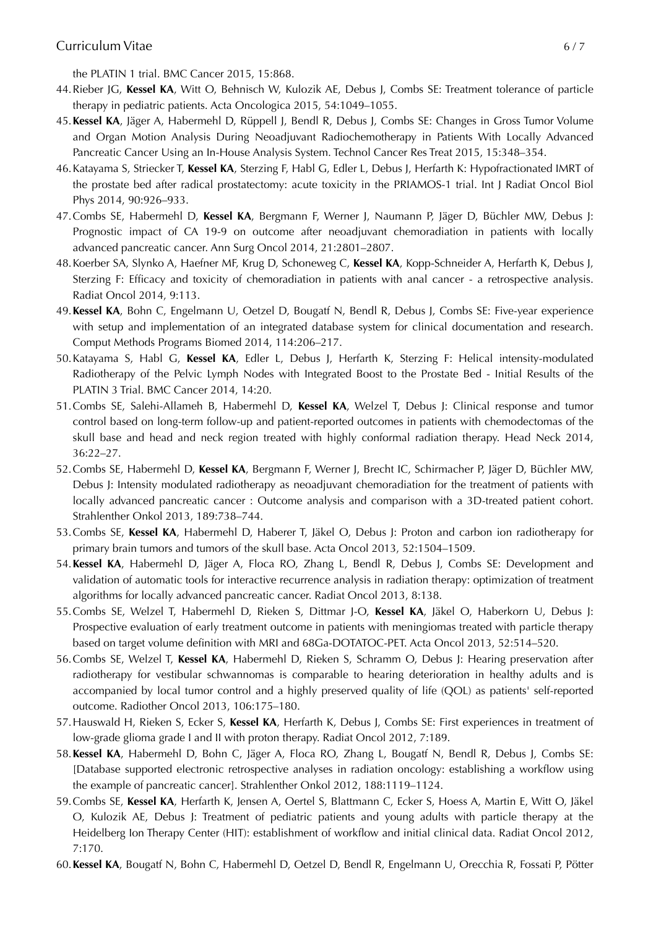the PLATIN 1 trial. BMC Cancer 2015, 15:868.

- 44.Rieber JG, **Kessel KA**, Witt O, Behnisch W, Kulozik AE, Debus J, Combs SE: Treatment tolerance of particle therapy in pediatric patients. Acta Oncologica 2015, 54:1049–1055.
- 45.**Kessel KA**, Jäger A, Habermehl D, Rüppell J, Bendl R, Debus J, Combs SE: Changes in Gross Tumor Volume and Organ Motion Analysis During Neoadjuvant Radiochemotherapy in Patients With Locally Advanced Pancreatic Cancer Using an In-House Analysis System. Technol Cancer Res Treat 2015, 15:348–354.
- 46.Katayama S, Striecker T, **Kessel KA**, Sterzing F, Habl G, Edler L, Debus J, Herfarth K: Hypofractionated IMRT of the prostate bed after radical prostatectomy: acute toxicity in the PRIAMOS-1 trial. Int J Radiat Oncol Biol Phys 2014, 90:926–933.
- 47.Combs SE, Habermehl D, **Kessel KA**, Bergmann F, Werner J, Naumann P, Jäger D, Büchler MW, Debus J: Prognostic impact of CA 19-9 on outcome after neoadjuvant chemoradiation in patients with locally advanced pancreatic cancer. Ann Surg Oncol 2014, 21:2801–2807.
- 48.Koerber SA, Slynko A, Haefner MF, Krug D, Schoneweg C, **Kessel KA**, Kopp-Schneider A, Herfarth K, Debus J, Sterzing F: Efficacy and toxicity of chemoradiation in patients with anal cancer - a retrospective analysis. Radiat Oncol 2014, 9:113.
- 49.**Kessel KA**, Bohn C, Engelmann U, Oetzel D, Bougatf N, Bendl R, Debus J, Combs SE: Five-year experience with setup and implementation of an integrated database system for clinical documentation and research. Comput Methods Programs Biomed 2014, 114:206–217.
- 50.Katayama S, Habl G, **Kessel KA**, Edler L, Debus J, Herfarth K, Sterzing F: Helical intensity-modulated Radiotherapy of the Pelvic Lymph Nodes with Integrated Boost to the Prostate Bed - Initial Results of the PLATIN 3 Trial. BMC Cancer 2014, 14:20.
- 51.Combs SE, Salehi-Allameh B, Habermehl D, **Kessel KA**, Welzel T, Debus J: Clinical response and tumor control based on long-term follow-up and patient-reported outcomes in patients with chemodectomas of the skull base and head and neck region treated with highly conformal radiation therapy. Head Neck 2014, 36:22–27.
- 52.Combs SE, Habermehl D, **Kessel KA**, Bergmann F, Werner J, Brecht IC, Schirmacher P, Jäger D, Büchler MW, Debus J: Intensity modulated radiotherapy as neoadjuvant chemoradiation for the treatment of patients with locally advanced pancreatic cancer : Outcome analysis and comparison with a 3D-treated patient cohort. Strahlenther Onkol 2013, 189:738–744.
- 53.Combs SE, **Kessel KA**, Habermehl D, Haberer T, Jäkel O, Debus J: Proton and carbon ion radiotherapy for primary brain tumors and tumors of the skull base. Acta Oncol 2013, 52:1504–1509.
- 54.**Kessel KA**, Habermehl D, Jäger A, Floca RO, Zhang L, Bendl R, Debus J, Combs SE: Development and validation of automatic tools for interactive recurrence analysis in radiation therapy: optimization of treatment algorithms for locally advanced pancreatic cancer. Radiat Oncol 2013, 8:138.
- 55.Combs SE, Welzel T, Habermehl D, Rieken S, Dittmar J-O, **Kessel KA**, Jäkel O, Haberkorn U, Debus J: Prospective evaluation of early treatment outcome in patients with meningiomas treated with particle therapy based on target volume definition with MRI and 68Ga-DOTATOC-PET. Acta Oncol 2013, 52:514–520.
- 56.Combs SE, Welzel T, **Kessel KA**, Habermehl D, Rieken S, Schramm O, Debus J: Hearing preservation after radiotherapy for vestibular schwannomas is comparable to hearing deterioration in healthy adults and is accompanied by local tumor control and a highly preserved quality of life (QOL) as patients' self-reported outcome. Radiother Oncol 2013, 106:175–180.
- 57.Hauswald H, Rieken S, Ecker S, **Kessel KA**, Herfarth K, Debus J, Combs SE: First experiences in treatment of low-grade glioma grade I and II with proton therapy. Radiat Oncol 2012, 7:189.
- 58.**Kessel KA**, Habermehl D, Bohn C, Jäger A, Floca RO, Zhang L, Bougatf N, Bendl R, Debus J, Combs SE: [Database supported electronic retrospective analyses in radiation oncology: establishing a workflow using the example of pancreatic cancer]. Strahlenther Onkol 2012, 188:1119–1124.
- 59.Combs SE, **Kessel KA**, Herfarth K, Jensen A, Oertel S, Blattmann C, Ecker S, Hoess A, Martin E, Witt O, Jäkel O, Kulozik AE, Debus J: Treatment of pediatric patients and young adults with particle therapy at the Heidelberg Ion Therapy Center (HIT): establishment of workflow and initial clinical data. Radiat Oncol 2012, 7:170.
- 60.**Kessel KA**, Bougatf N, Bohn C, Habermehl D, Oetzel D, Bendl R, Engelmann U, Orecchia R, Fossati P, Pötter